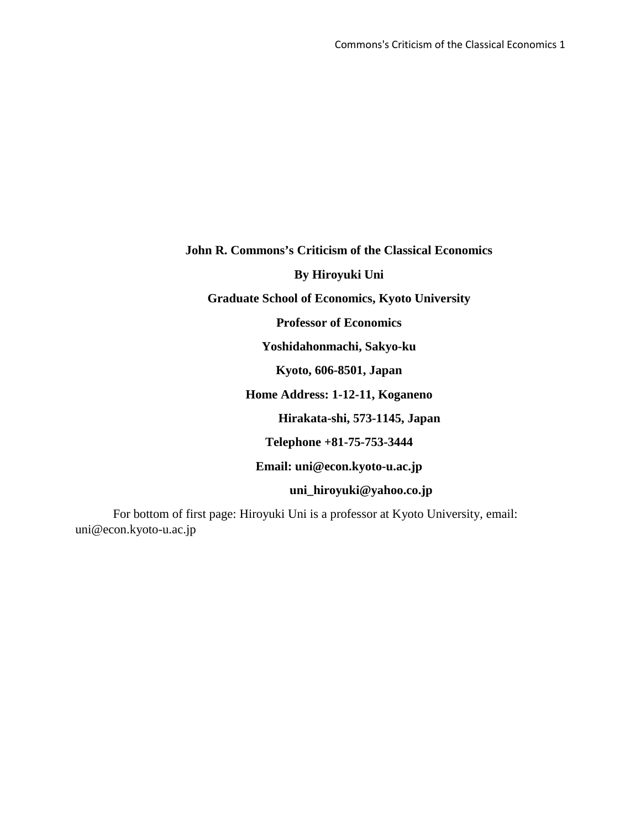**John R. Commons's Criticism of the Classical Economics By Hiroyuki Uni Graduate School of Economics, Kyoto University Professor of Economics Yoshidahonmachi, Sakyo-ku Kyoto, 606-8501, Japan Home Address: 1-12-11, Koganeno Hirakata-shi, 573-1145, Japan Telephone +81-75-753-3444 Email: uni@econ.kyoto-u.ac.jp uni\_hiroyuki@yahoo.co.jp**

For bottom of first page: Hiroyuki Uni is a professor at Kyoto University, email: uni@econ.kyoto-u.ac.jp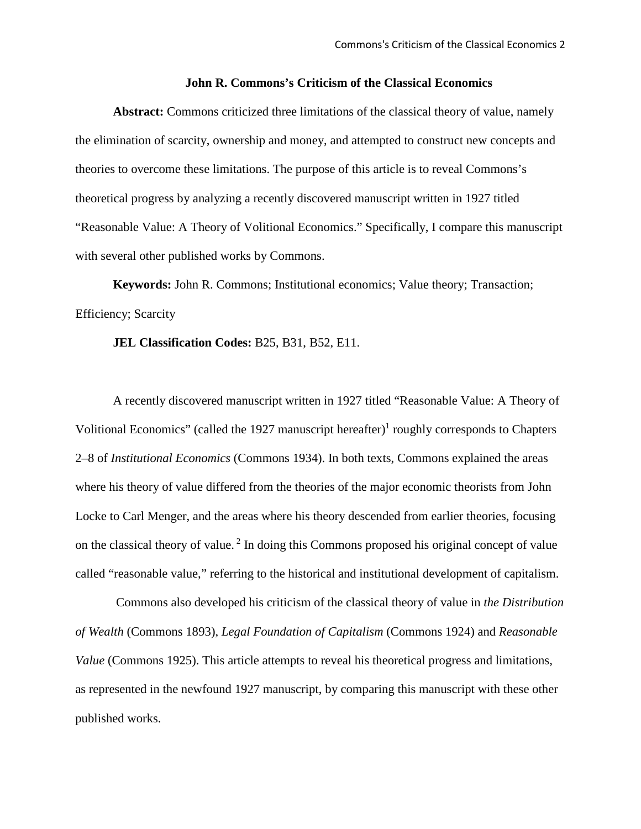# **John R. Commons's Criticism of the Classical Economics**

**Abstract:** Commons criticized three limitations of the classical theory of value, namely the elimination of scarcity, ownership and money, and attempted to construct new concepts and theories to overcome these limitations. The purpose of this article is to reveal Commons's theoretical progress by analyzing a recently discovered manuscript written in 1927 titled "Reasonable Value: A Theory of Volitional Economics." Specifically, I compare this manuscript with several other published works by Commons.

**Keywords:** John R. Commons; Institutional economics; Value theory; Transaction; Efficiency; Scarcity

# **JEL Classification Codes:** B25, B31, B52, E11.

A recently discovered manuscript written in 1927 titled "Reasonable Value: A Theory of Volitional Economics" (called the 1927 manuscript hereafter)<sup>1</sup> roughly corresponds to Chapters 2–8 of *Institutional Economics* (Commons 1934). In both texts, Commons explained the areas where his theory of value differed from the theories of the major economic theorists from John Locke to Carl Menger, and the areas where his theory descended from earlier theories, focusing on the classical theory of value. <sup>2</sup> In doing this Commons proposed his original concept of value called "reasonable value," referring to the historical and institutional development of capitalism.

Commons also developed his criticism of the classical theory of value in *the Distribution of Wealth* (Commons 1893), *Legal Foundation of Capitalism* (Commons 1924) and *Reasonable Value* (Commons 1925). This article attempts to reveal his theoretical progress and limitations, as represented in the newfound 1927 manuscript, by comparing this manuscript with these other published works.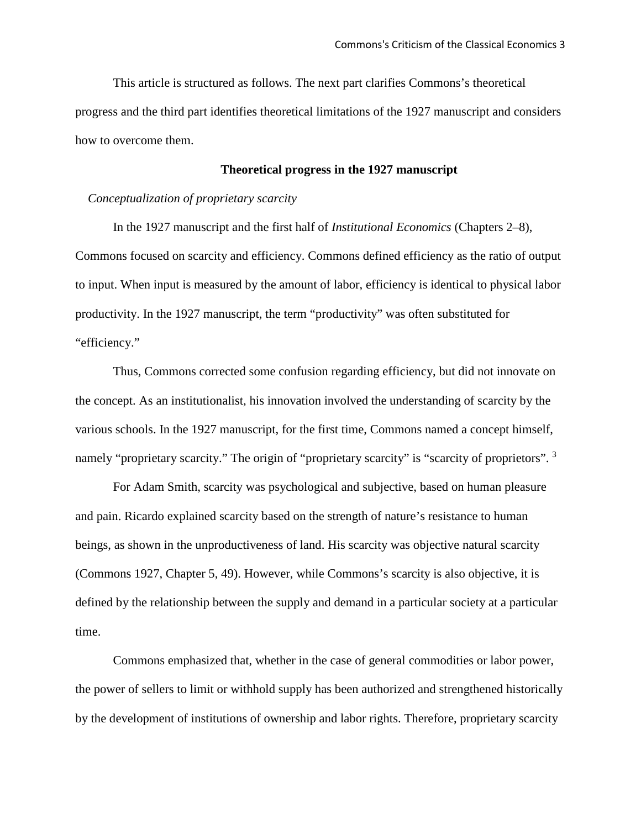This article is structured as follows. The next part clarifies Commons's theoretical progress and the third part identifies theoretical limitations of the 1927 manuscript and considers how to overcome them.

## **Theoretical progress in the 1927 manuscript**

#### *Conceptualization of proprietary scarcity*

In the 1927 manuscript and the first half of *Institutional Economics* (Chapters 2–8), Commons focused on scarcity and efficiency. Commons defined efficiency as the ratio of output to input. When input is measured by the amount of labor, efficiency is identical to physical labor productivity. In the 1927 manuscript, the term "productivity" was often substituted for "efficiency."

Thus, Commons corrected some confusion regarding efficiency, but did not innovate on the concept. As an institutionalist, his innovation involved the understanding of scarcity by the various schools. In the 1927 manuscript, for the first time, Commons named a concept himself, namely "proprietary scarcity." The origin of "proprietary scarcity" is "scarcity of proprietors". <sup>3</sup>

For Adam Smith, scarcity was psychological and subjective, based on human pleasure and pain. Ricardo explained scarcity based on the strength of nature's resistance to human beings, as shown in the unproductiveness of land. His scarcity was objective natural scarcity (Commons 1927, Chapter 5, 49). However, while Commons's scarcity is also objective, it is defined by the relationship between the supply and demand in a particular society at a particular time.

Commons emphasized that, whether in the case of general commodities or labor power, the power of sellers to limit or withhold supply has been authorized and strengthened historically by the development of institutions of ownership and labor rights. Therefore, proprietary scarcity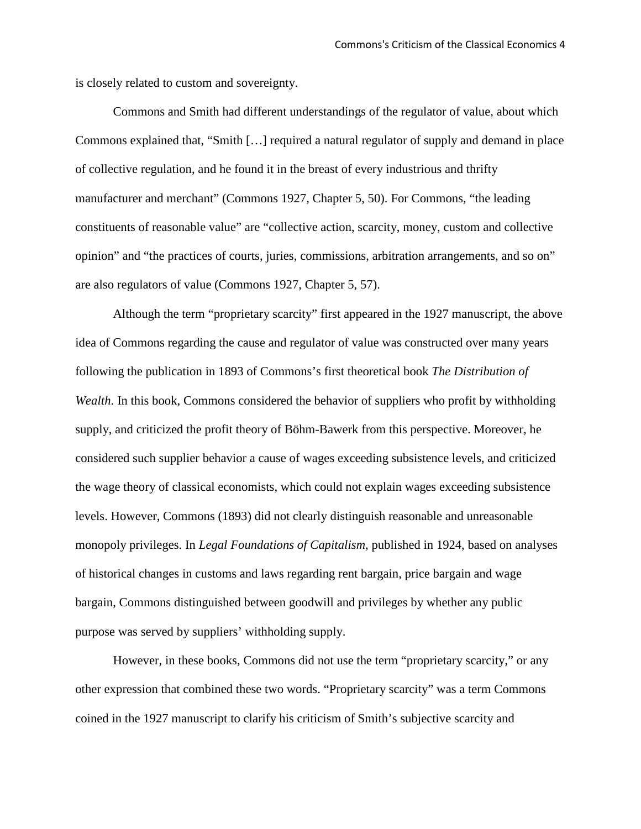is closely related to custom and sovereignty.

Commons and Smith had different understandings of the regulator of value, about which Commons explained that, "Smith […] required a natural regulator of supply and demand in place of collective regulation, and he found it in the breast of every industrious and thrifty manufacturer and merchant" (Commons 1927, Chapter 5, 50). For Commons, "the leading constituents of reasonable value" are "collective action, scarcity, money, custom and collective opinion" and "the practices of courts, juries, commissions, arbitration arrangements, and so on" are also regulators of value (Commons 1927, Chapter 5, 57).

Although the term "proprietary scarcity" first appeared in the 1927 manuscript, the above idea of Commons regarding the cause and regulator of value was constructed over many years following the publication in 1893 of Commons's first theoretical book *The Distribution of Wealth*. In this book, Commons considered the behavior of suppliers who profit by withholding supply, and criticized the profit theory of Böhm-Bawerk from this perspective. Moreover, he considered such supplier behavior a cause of wages exceeding subsistence levels, and criticized the wage theory of classical economists, which could not explain wages exceeding subsistence levels. However, Commons (1893) did not clearly distinguish reasonable and unreasonable monopoly privileges. In *Legal Foundations of Capitalism*, published in 1924, based on analyses of historical changes in customs and laws regarding rent bargain, price bargain and wage bargain, Commons distinguished between goodwill and privileges by whether any public purpose was served by suppliers' withholding supply.

However, in these books, Commons did not use the term "proprietary scarcity," or any other expression that combined these two words. "Proprietary scarcity" was a term Commons coined in the 1927 manuscript to clarify his criticism of Smith's subjective scarcity and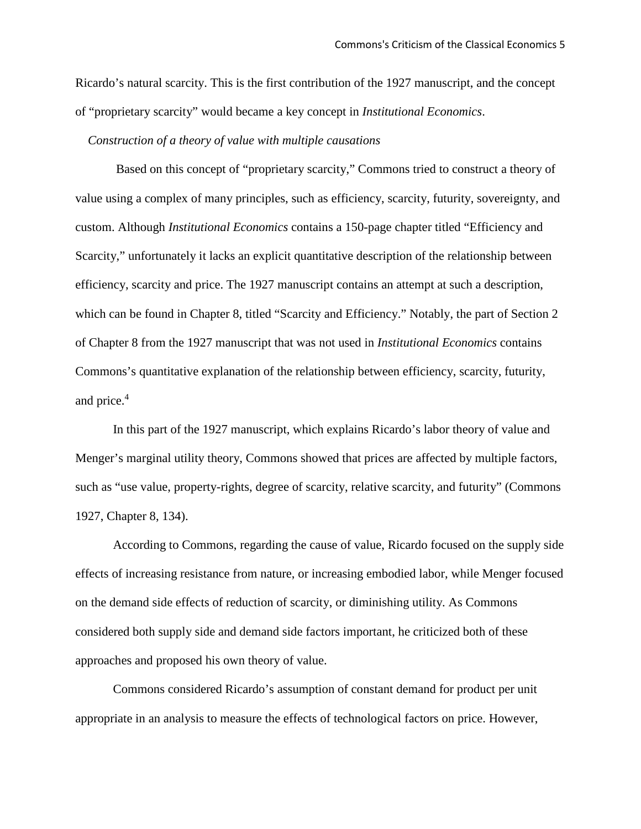Ricardo's natural scarcity. This is the first contribution of the 1927 manuscript, and the concept of "proprietary scarcity" would became a key concept in *Institutional Economics*.

*Construction of a theory of value with multiple causations*

Based on this concept of "proprietary scarcity," Commons tried to construct a theory of value using a complex of many principles, such as efficiency, scarcity, futurity, sovereignty, and custom. Although *Institutional Economics* contains a 150-page chapter titled "Efficiency and Scarcity," unfortunately it lacks an explicit quantitative description of the relationship between efficiency, scarcity and price. The 1927 manuscript contains an attempt at such a description, which can be found in Chapter 8, titled "Scarcity and Efficiency." Notably, the part of Section 2 of Chapter 8 from the 1927 manuscript that was not used in *Institutional Economics* contains Commons's quantitative explanation of the relationship between efficiency, scarcity, futurity, and price.4

In this part of the 1927 manuscript, which explains Ricardo's labor theory of value and Menger's marginal utility theory, Commons showed that prices are affected by multiple factors, such as "use value, property-rights, degree of scarcity, relative scarcity, and futurity" (Commons 1927, Chapter 8, 134).

According to Commons, regarding the cause of value, Ricardo focused on the supply side effects of increasing resistance from nature, or increasing embodied labor, while Menger focused on the demand side effects of reduction of scarcity, or diminishing utility. As Commons considered both supply side and demand side factors important, he criticized both of these approaches and proposed his own theory of value.

Commons considered Ricardo's assumption of constant demand for product per unit appropriate in an analysis to measure the effects of technological factors on price. However,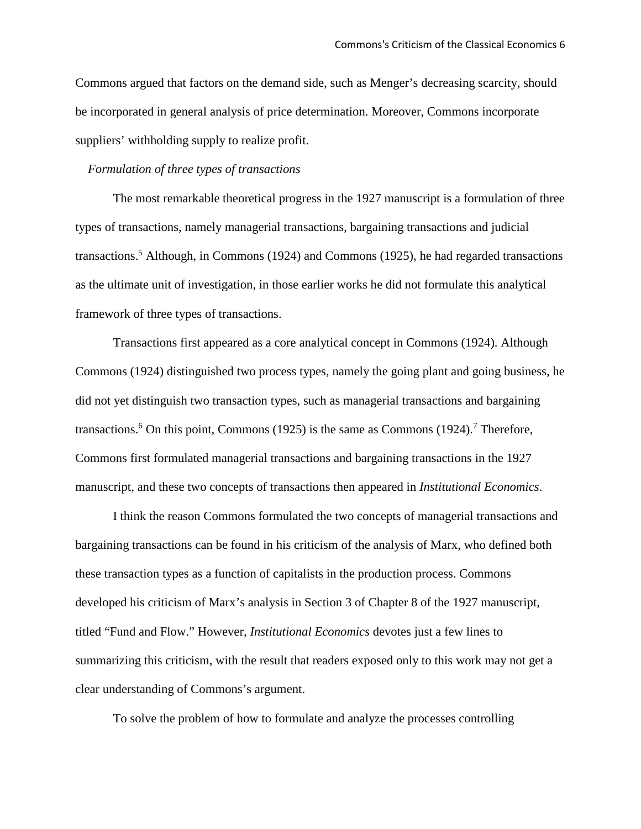Commons argued that factors on the demand side, such as Menger's decreasing scarcity, should be incorporated in general analysis of price determination. Moreover, Commons incorporate suppliers' withholding supply to realize profit.

# *Formulation of three types of transactions*

The most remarkable theoretical progress in the 1927 manuscript is a formulation of three types of transactions, namely managerial transactions, bargaining transactions and judicial transactions.<sup>5</sup> Although, in Commons (1924) and Commons (1925), he had regarded transactions as the ultimate unit of investigation, in those earlier works he did not formulate this analytical framework of three types of transactions.

Transactions first appeared as a core analytical concept in Commons (1924). Although Commons (1924) distinguished two process types, namely the going plant and going business, he did not yet distinguish two transaction types, such as managerial transactions and bargaining transactions.<sup>6</sup> On this point, Commons (1925) is the same as Commons (1924).<sup>7</sup> Therefore, Commons first formulated managerial transactions and bargaining transactions in the 1927 manuscript, and these two concepts of transactions then appeared in *Institutional Economics*.

I think the reason Commons formulated the two concepts of managerial transactions and bargaining transactions can be found in his criticism of the analysis of Marx, who defined both these transaction types as a function of capitalists in the production process. Commons developed his criticism of Marx's analysis in Section 3 of Chapter 8 of the 1927 manuscript, titled "Fund and Flow." However, *Institutional Economics* devotes just a few lines to summarizing this criticism, with the result that readers exposed only to this work may not get a clear understanding of Commons's argument.

To solve the problem of how to formulate and analyze the processes controlling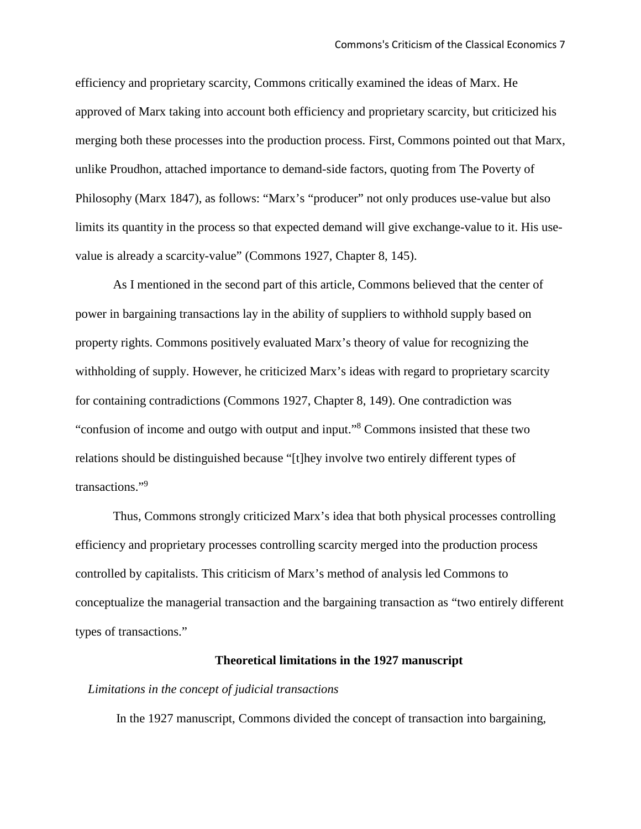efficiency and proprietary scarcity, Commons critically examined the ideas of Marx. He approved of Marx taking into account both efficiency and proprietary scarcity, but criticized his merging both these processes into the production process. First, Commons pointed out that Marx, unlike Proudhon, attached importance to demand-side factors, quoting from The Poverty of Philosophy (Marx 1847), as follows: "Marx's "producer" not only produces use-value but also limits its quantity in the process so that expected demand will give exchange-value to it. His usevalue is already a scarcity-value" (Commons 1927, Chapter 8, 145).

As I mentioned in the second part of this article, Commons believed that the center of power in bargaining transactions lay in the ability of suppliers to withhold supply based on property rights. Commons positively evaluated Marx's theory of value for recognizing the withholding of supply. However, he criticized Marx's ideas with regard to proprietary scarcity for containing contradictions (Commons 1927, Chapter 8, 149). One contradiction was "confusion of income and outgo with output and input."8 Commons insisted that these two relations should be distinguished because "[t]hey involve two entirely different types of transactions."9

Thus, Commons strongly criticized Marx's idea that both physical processes controlling efficiency and proprietary processes controlling scarcity merged into the production process controlled by capitalists. This criticism of Marx's method of analysis led Commons to conceptualize the managerial transaction and the bargaining transaction as "two entirely different types of transactions."

#### **Theoretical limitations in the 1927 manuscript**

#### *Limitations in the concept of judicial transactions*

In the 1927 manuscript, Commons divided the concept of transaction into bargaining,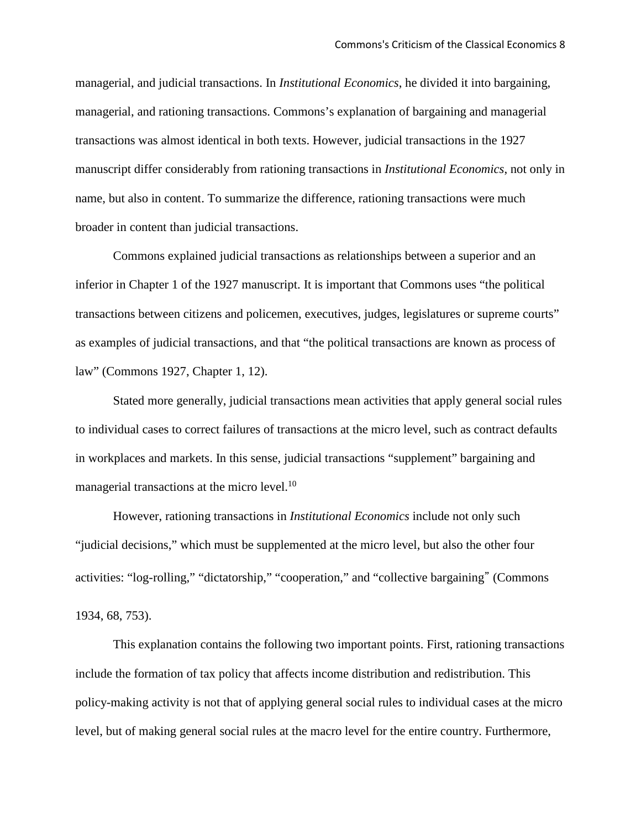managerial, and judicial transactions. In *Institutional Economics*, he divided it into bargaining, managerial, and rationing transactions. Commons's explanation of bargaining and managerial transactions was almost identical in both texts. However, judicial transactions in the 1927 manuscript differ considerably from rationing transactions in *Institutional Economics*, not only in name, but also in content. To summarize the difference, rationing transactions were much broader in content than judicial transactions.

Commons explained judicial transactions as relationships between a superior and an inferior in Chapter 1 of the 1927 manuscript. It is important that Commons uses "the political transactions between citizens and policemen, executives, judges, legislatures or supreme courts" as examples of judicial transactions, and that "the political transactions are known as process of law" (Commons 1927, Chapter 1, 12).

Stated more generally, judicial transactions mean activities that apply general social rules to individual cases to correct failures of transactions at the micro level, such as contract defaults in workplaces and markets. In this sense, judicial transactions "supplement" bargaining and managerial transactions at the micro level.<sup>10</sup>

However, rationing transactions in *Institutional Economics* include not only such "judicial decisions," which must be supplemented at the micro level, but also the other four activities: "log-rolling," "dictatorship," "cooperation," and "collective bargaining" (Commons 1934, 68, 753).

This explanation contains the following two important points. First, rationing transactions include the formation of tax policy that affects income distribution and redistribution. This policy-making activity is not that of applying general social rules to individual cases at the micro level, but of making general social rules at the macro level for the entire country. Furthermore,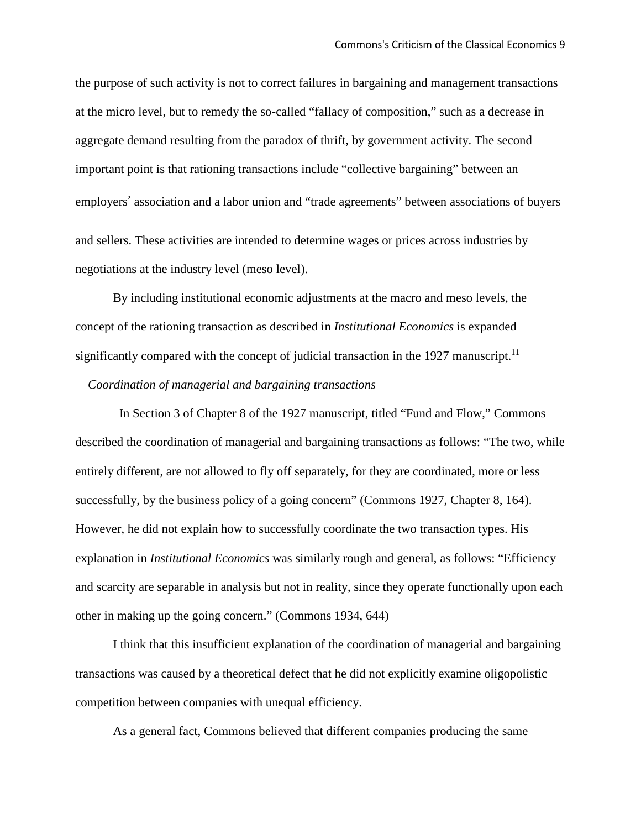the purpose of such activity is not to correct failures in bargaining and management transactions at the micro level, but to remedy the so-called "fallacy of composition," such as a decrease in aggregate demand resulting from the paradox of thrift, by government activity. The second important point is that rationing transactions include "collective bargaining" between an employers' association and a labor union and "trade agreements" between associations of buyers and sellers. These activities are intended to determine wages or prices across industries by negotiations at the industry level (meso level).

By including institutional economic adjustments at the macro and meso levels, the concept of the rationing transaction as described in *Institutional Economics* is expanded significantly compared with the concept of judicial transaction in the 1927 manuscript.<sup>11</sup>

#### *Coordination of managerial and bargaining transactions*

 In Section 3 of Chapter 8 of the 1927 manuscript, titled "Fund and Flow," Commons described the coordination of managerial and bargaining transactions as follows: "The two, while entirely different, are not allowed to fly off separately, for they are coordinated, more or less successfully, by the business policy of a going concern" (Commons 1927, Chapter 8, 164). However, he did not explain how to successfully coordinate the two transaction types. His explanation in *Institutional Economics* was similarly rough and general, as follows: "Efficiency and scarcity are separable in analysis but not in reality, since they operate functionally upon each other in making up the going concern." (Commons 1934, 644)

I think that this insufficient explanation of the coordination of managerial and bargaining transactions was caused by a theoretical defect that he did not explicitly examine oligopolistic competition between companies with unequal efficiency.

As a general fact, Commons believed that different companies producing the same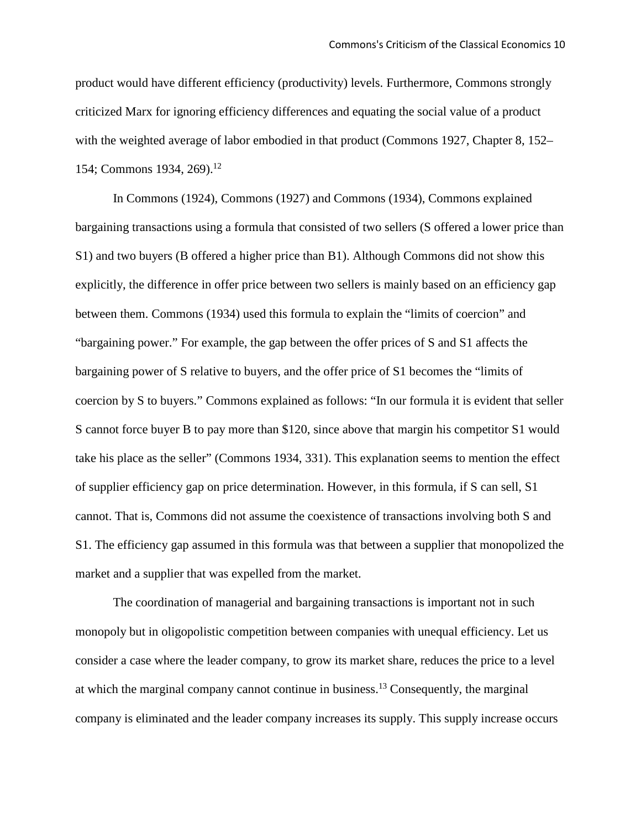product would have different efficiency (productivity) levels. Furthermore, Commons strongly criticized Marx for ignoring efficiency differences and equating the social value of a product with the weighted average of labor embodied in that product (Commons 1927, Chapter 8, 152– 154; Commons 1934, 269).<sup>12</sup>

In Commons (1924), Commons (1927) and Commons (1934), Commons explained bargaining transactions using a formula that consisted of two sellers (S offered a lower price than S1) and two buyers (B offered a higher price than B1). Although Commons did not show this explicitly, the difference in offer price between two sellers is mainly based on an efficiency gap between them. Commons (1934) used this formula to explain the "limits of coercion" and "bargaining power." For example, the gap between the offer prices of S and S1 affects the bargaining power of S relative to buyers, and the offer price of S1 becomes the "limits of coercion by S to buyers." Commons explained as follows: "In our formula it is evident that seller S cannot force buyer B to pay more than \$120, since above that margin his competitor S1 would take his place as the seller" (Commons 1934, 331). This explanation seems to mention the effect of supplier efficiency gap on price determination. However, in this formula, if S can sell, S1 cannot. That is, Commons did not assume the coexistence of transactions involving both S and S1. The efficiency gap assumed in this formula was that between a supplier that monopolized the market and a supplier that was expelled from the market.

The coordination of managerial and bargaining transactions is important not in such monopoly but in oligopolistic competition between companies with unequal efficiency. Let us consider a case where the leader company, to grow its market share, reduces the price to a level at which the marginal company cannot continue in business.13 Consequently, the marginal company is eliminated and the leader company increases its supply. This supply increase occurs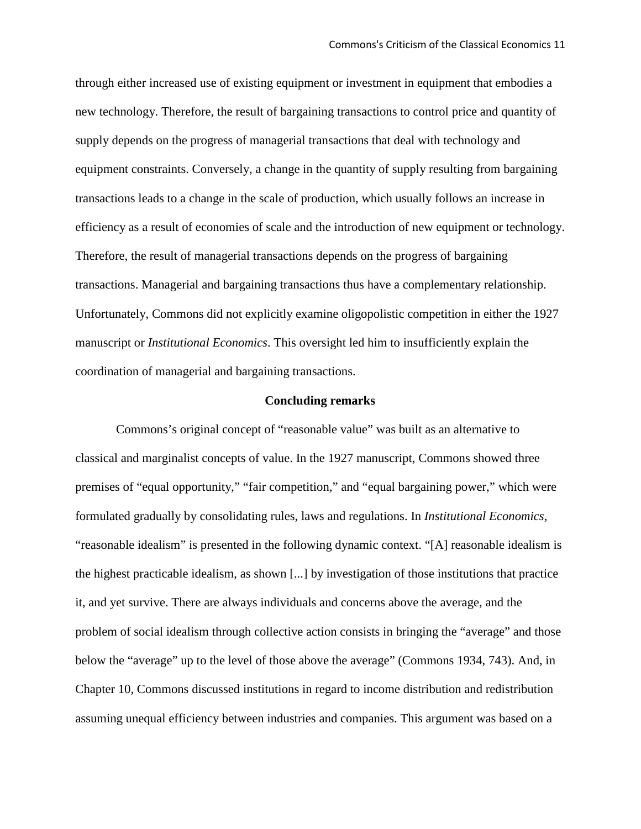through either increased use of existing equipment or investment in equipment that embodies a new technology. Therefore, the result of bargaining transactions to control price and quantity of supply depends on the progress of managerial transactions that deal with technology and equipment constraints. Conversely, a change in the quantity of supply resulting from bargaining transactions leads to a change in the scale of production, which usually follows an increase in efficiency as a result of economies of scale and the introduction of new equipment or technology. Therefore, the result of managerial transactions depends on the progress of bargaining transactions. Managerial and bargaining transactions thus have a complementary relationship. Unfortunately, Commons did not explicitly examine oligopolistic competition in either the 1927 manuscript or *Institutional Economics*. This oversight led him to insufficiently explain the coordination of managerial and bargaining transactions.

#### **Concluding remarks**

Commons's original concept of "reasonable value" was built as an alternative to classical and marginalist concepts of value. In the 1927 manuscript, Commons showed three premises of "equal opportunity," "fair competition," and "equal bargaining power," which were formulated gradually by consolidating rules, laws and regulations. In *Institutional Economics*, "reasonable idealism" is presented in the following dynamic context. "[A] reasonable idealism is the highest practicable idealism, as shown [...] by investigation of those institutions that practice it, and yet survive. There are always individuals and concerns above the average, and the problem of social idealism through collective action consists in bringing the "average" and those below the "average" up to the level of those above the average" (Commons 1934, 743). And, in Chapter 10, Commons discussed institutions in regard to income distribution and redistribution assuming unequal efficiency between industries and companies. This argument was based on a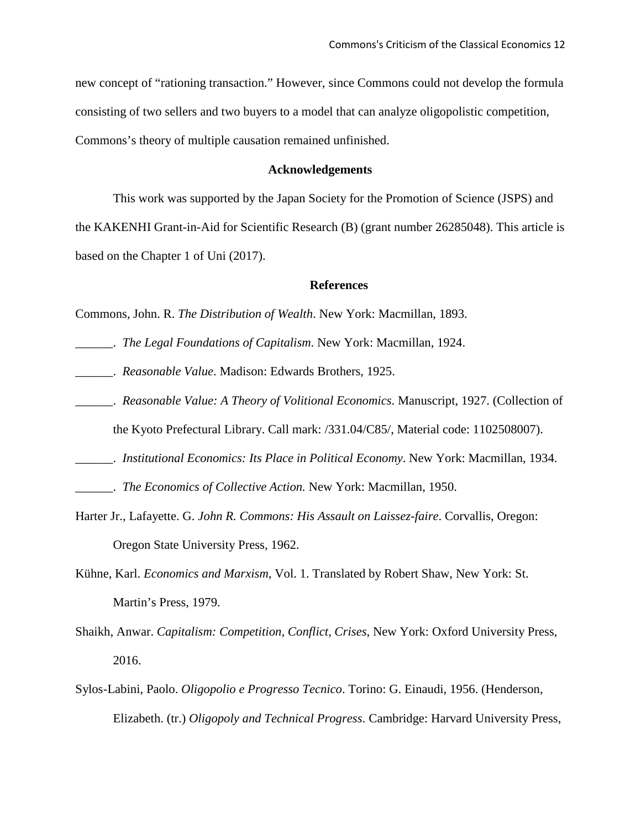new concept of "rationing transaction." However, since Commons could not develop the formula consisting of two sellers and two buyers to a model that can analyze oligopolistic competition, Commons's theory of multiple causation remained unfinished.

## **Acknowledgements**

This work was supported by the Japan Society for the Promotion of Science (JSPS) and the KAKENHI Grant-in-Aid for Scientific Research (B) (grant number 26285048). This article is based on the Chapter 1 of Uni (2017).

#### **References**

Commons, John. R. *The Distribution of Wealth*. New York: Macmillan, 1893.

- \_\_\_\_\_\_. *The Legal Foundations of Capitalism*. New York: Macmillan, 1924.
- \_\_\_\_\_\_. *Reasonable Value*. Madison: Edwards Brothers, 1925.
- \_\_\_\_\_\_. *Reasonable Value: A Theory of Volitional Economics*. Manuscript, 1927. (Collection of the Kyoto Prefectural Library. Call mark: /331.04/C85/, Material code: 1102508007).
- \_\_\_\_\_\_. *Institutional Economics: Its Place in Political Economy*. New York: Macmillan, 1934.

\_\_\_\_\_\_. *The Economics of Collective Action.* New York: Macmillan, 1950.

- Harter Jr., Lafayette. G. *John R. Commons: His Assault on Laissez-faire*. Corvallis, Oregon: Oregon State University Press, 1962.
- Kühne, Karl. *Economics and Marxism*, Vol. 1. Translated by Robert Shaw, New York: St. Martin's Press, 1979.
- Shaikh, Anwar. *Capitalism: Competition, Conflict, Crises*, New York: Oxford University Press, 2016.
- Sylos-Labini, Paolo. *Oligopolio e Progresso Tecnico*. Torino: G. Einaudi, 1956. (Henderson, Elizabeth. (tr.) *Oligopoly and Technical Progress*. Cambridge: Harvard University Press,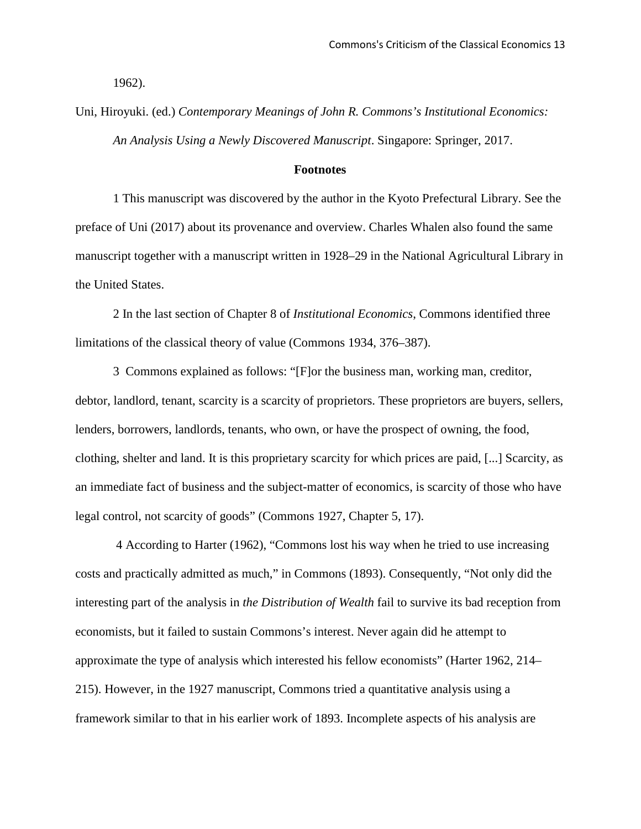1962).

# Uni, Hiroyuki. (ed.) *Contemporary Meanings of John R. Commons's Institutional Economics: An Analysis Using a Newly Discovered Manuscript*. Singapore: Springer, 2017.

#### **Footnotes**

1 This manuscript was discovered by the author in the Kyoto Prefectural Library. See the preface of Uni (2017) about its provenance and overview. Charles Whalen also found the same manuscript together with a manuscript written in 1928–29 in the National Agricultural Library in the United States.

2 In the last section of Chapter 8 of *Institutional Economics*, Commons identified three limitations of the classical theory of value (Commons 1934, 376–387).

3 Commons explained as follows: "[F]or the business man, working man, creditor, debtor, landlord, tenant, scarcity is a scarcity of proprietors. These proprietors are buyers, sellers, lenders, borrowers, landlords, tenants, who own, or have the prospect of owning, the food, clothing, shelter and land. It is this proprietary scarcity for which prices are paid, [...] Scarcity, as an immediate fact of business and the subject-matter of economics, is scarcity of those who have legal control, not scarcity of goods" (Commons 1927, Chapter 5, 17).

4 According to Harter (1962), "Commons lost his way when he tried to use increasing costs and practically admitted as much," in Commons (1893). Consequently, "Not only did the interesting part of the analysis in *the Distribution of Wealth* fail to survive its bad reception from economists, but it failed to sustain Commons's interest. Never again did he attempt to approximate the type of analysis which interested his fellow economists" (Harter 1962, 214– 215). However, in the 1927 manuscript, Commons tried a quantitative analysis using a framework similar to that in his earlier work of 1893. Incomplete aspects of his analysis are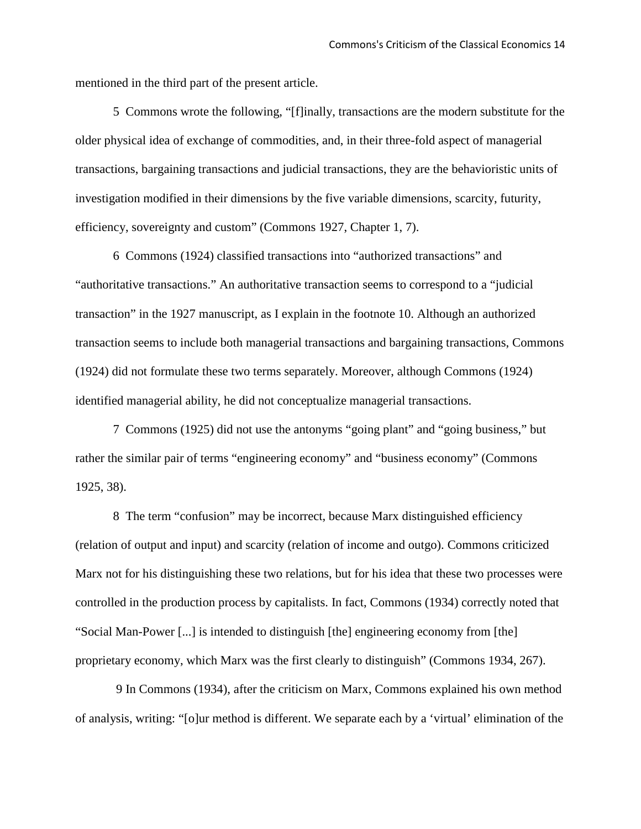mentioned in the third part of the present article.

5 Commons wrote the following, "[f]inally, transactions are the modern substitute for the older physical idea of exchange of commodities, and, in their three-fold aspect of managerial transactions, bargaining transactions and judicial transactions, they are the behavioristic units of investigation modified in their dimensions by the five variable dimensions, scarcity, futurity, efficiency, sovereignty and custom" (Commons 1927, Chapter 1, 7).

6 Commons (1924) classified transactions into "authorized transactions" and "authoritative transactions." An authoritative transaction seems to correspond to a "judicial transaction" in the 1927 manuscript, as I explain in the footnote 10. Although an authorized transaction seems to include both managerial transactions and bargaining transactions, Commons (1924) did not formulate these two terms separately. Moreover, although Commons (1924) identified managerial ability, he did not conceptualize managerial transactions.

7 Commons (1925) did not use the antonyms "going plant" and "going business," but rather the similar pair of terms "engineering economy" and "business economy" (Commons 1925, 38).

8 The term "confusion" may be incorrect, because Marx distinguished efficiency (relation of output and input) and scarcity (relation of income and outgo). Commons criticized Marx not for his distinguishing these two relations, but for his idea that these two processes were controlled in the production process by capitalists. In fact, Commons (1934) correctly noted that "Social Man-Power [...] is intended to distinguish [the] engineering economy from [the] proprietary economy, which Marx was the first clearly to distinguish" (Commons 1934, 267).

9 In Commons (1934), after the criticism on Marx, Commons explained his own method of analysis, writing: "[o]ur method is different. We separate each by a 'virtual' elimination of the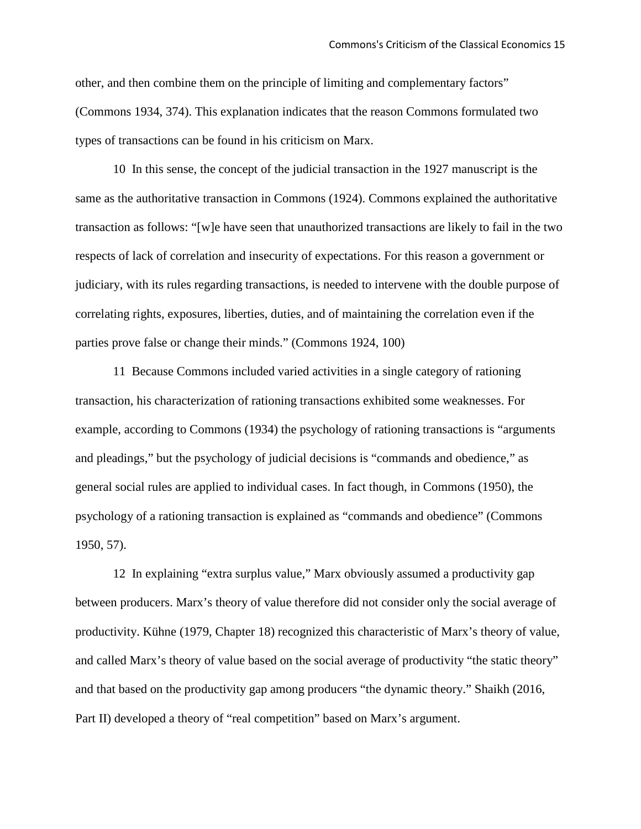other, and then combine them on the principle of limiting and complementary factors" (Commons 1934, 374). This explanation indicates that the reason Commons formulated two types of transactions can be found in his criticism on Marx.

10 In this sense, the concept of the judicial transaction in the 1927 manuscript is the same as the authoritative transaction in Commons (1924). Commons explained the authoritative transaction as follows: "[w]e have seen that unauthorized transactions are likely to fail in the two respects of lack of correlation and insecurity of expectations. For this reason a government or judiciary, with its rules regarding transactions, is needed to intervene with the double purpose of correlating rights, exposures, liberties, duties, and of maintaining the correlation even if the parties prove false or change their minds." (Commons 1924, 100)

11 Because Commons included varied activities in a single category of rationing transaction, his characterization of rationing transactions exhibited some weaknesses. For example, according to Commons (1934) the psychology of rationing transactions is "arguments and pleadings," but the psychology of judicial decisions is "commands and obedience," as general social rules are applied to individual cases. In fact though, in Commons (1950), the psychology of a rationing transaction is explained as "commands and obedience" (Commons 1950, 57).

12 In explaining "extra surplus value," Marx obviously assumed a productivity gap between producers. Marx's theory of value therefore did not consider only the social average of productivity. Kühne (1979, Chapter 18) recognized this characteristic of Marx's theory of value, and called Marx's theory of value based on the social average of productivity "the static theory" and that based on the productivity gap among producers "the dynamic theory." Shaikh (2016, Part II) developed a theory of "real competition" based on Marx's argument.